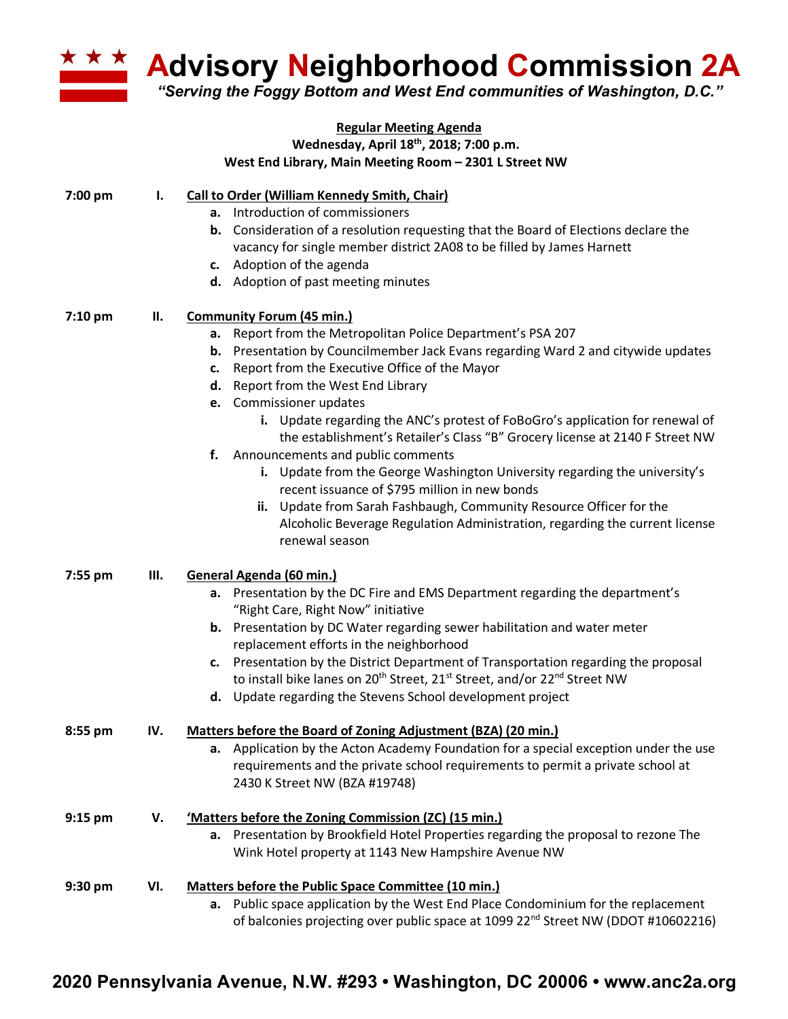

**Advisory Neighborhood Commission 2A**

*"Serving the Foggy Bottom and West End communities of Washington, D.C."*

| <b>Regular Meeting Agenda</b><br>Wednesday, April 18th, 2018; 7:00 p.m. |     |                                                                                                                                                                                                                                                                                                                                                                                                                                                                                                                                                                                                                                                                                                                                                                                                                                         |  |  |  |
|-------------------------------------------------------------------------|-----|-----------------------------------------------------------------------------------------------------------------------------------------------------------------------------------------------------------------------------------------------------------------------------------------------------------------------------------------------------------------------------------------------------------------------------------------------------------------------------------------------------------------------------------------------------------------------------------------------------------------------------------------------------------------------------------------------------------------------------------------------------------------------------------------------------------------------------------------|--|--|--|
|                                                                         |     | West End Library, Main Meeting Room - 2301 L Street NW                                                                                                                                                                                                                                                                                                                                                                                                                                                                                                                                                                                                                                                                                                                                                                                  |  |  |  |
| 7:00 pm                                                                 | ı.  | <b>Call to Order (William Kennedy Smith, Chair)</b><br>a. Introduction of commissioners<br><b>b.</b> Consideration of a resolution requesting that the Board of Elections declare the<br>vacancy for single member district 2A08 to be filled by James Harnett<br>c. Adoption of the agenda<br>d. Adoption of past meeting minutes                                                                                                                                                                                                                                                                                                                                                                                                                                                                                                      |  |  |  |
| 7:10 pm                                                                 | П.  | <b>Community Forum (45 min.)</b><br>Report from the Metropolitan Police Department's PSA 207<br>а.<br><b>b.</b> Presentation by Councilmember Jack Evans regarding Ward 2 and citywide updates<br>Report from the Executive Office of the Mayor<br>c.<br>d. Report from the West End Library<br>e. Commissioner updates<br>i. Update regarding the ANC's protest of FoBoGro's application for renewal of<br>the establishment's Retailer's Class "B" Grocery license at 2140 F Street NW<br>f. Announcements and public comments<br>i. Update from the George Washington University regarding the university's<br>recent issuance of \$795 million in new bonds<br>ii. Update from Sarah Fashbaugh, Community Resource Officer for the<br>Alcoholic Beverage Regulation Administration, regarding the current license<br>renewal season |  |  |  |
| 7:55 pm                                                                 | Ш.  | General Agenda (60 min.)<br>a. Presentation by the DC Fire and EMS Department regarding the department's<br>"Right Care, Right Now" initiative<br>b. Presentation by DC Water regarding sewer habilitation and water meter<br>replacement efforts in the neighborhood<br>Presentation by the District Department of Transportation regarding the proposal<br>c.<br>to install bike lanes on 20 <sup>th</sup> Street, 21 <sup>st</sup> Street, and/or 22 <sup>nd</sup> Street NW<br>d. Update regarding the Stevens School development project                                                                                                                                                                                                                                                                                           |  |  |  |
| 8:55 pm                                                                 | IV. | Matters before the Board of Zoning Adjustment (BZA) (20 min.)<br>a. Application by the Acton Academy Foundation for a special exception under the use<br>requirements and the private school requirements to permit a private school at<br>2430 K Street NW (BZA #19748)                                                                                                                                                                                                                                                                                                                                                                                                                                                                                                                                                                |  |  |  |
| $9:15$ pm                                                               | V.  | 'Matters before the Zoning Commission (ZC) (15 min.)<br>a. Presentation by Brookfield Hotel Properties regarding the proposal to rezone The<br>Wink Hotel property at 1143 New Hampshire Avenue NW                                                                                                                                                                                                                                                                                                                                                                                                                                                                                                                                                                                                                                      |  |  |  |
| 9:30 pm                                                                 | VI. | <b>Matters before the Public Space Committee (10 min.)</b><br>a. Public space application by the West End Place Condominium for the replacement<br>of balconies projecting over public space at 1099 22 <sup>nd</sup> Street NW (DDOT #10602216)                                                                                                                                                                                                                                                                                                                                                                                                                                                                                                                                                                                        |  |  |  |

## **2020 Pennsylvania Avenue, N.W. #293 • Washington, DC 20006 • www.anc2a.org**